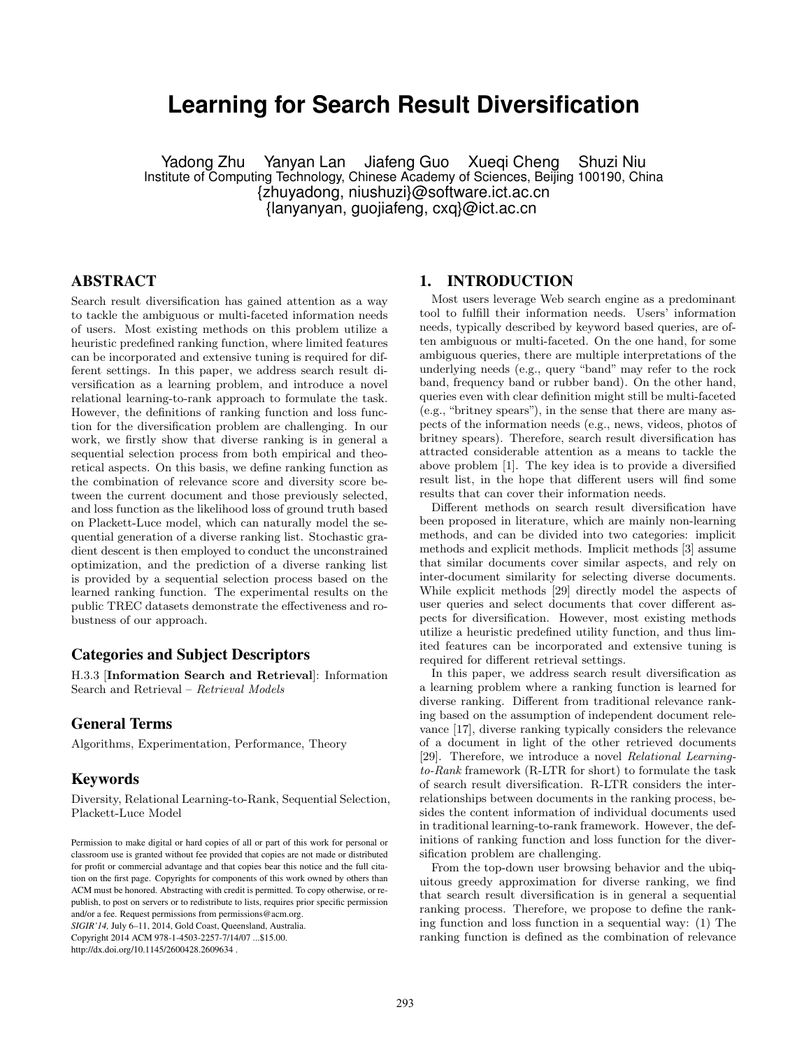# **Learning for Search Result Diversification**

Yadong Zhu Yanyan Lan Jiafeng Guo Xueqi Cheng Shuzi Niu Institute of Computing Technology, Chinese Academy of Sciences, Beijing 100190, China {zhuyadong, niushuzi}@software.ict.ac.cn {lanyanyan, guojiafeng, cxq}@ict.ac.cn

# ABSTRACT

Search result diversification has gained attention as a way to tackle the ambiguous or multi-faceted information needs of users. Most existing methods on this problem utilize a heuristic predefined ranking function, where limited features can be incorporated and extensive tuning is required for different settings. In this paper, we address search result diversification as a learning problem, and introduce a novel relational learning-to-rank approach to formulate the task. However, the definitions of ranking function and loss function for the diversification problem are challenging. In our work, we firstly show that diverse ranking is in general a sequential selection process from both empirical and theoretical aspects. On this basis, we define ranking function as the combination of relevance score and diversity score between the current document and those previously selected, and loss function as the likelihood loss of ground truth based on Plackett-Luce model, which can naturally model the sequential generation of a diverse ranking list. Stochastic gradient descent is then employed to conduct the unconstrained optimization, and the prediction of a diverse ranking list is provided by a sequential selection process based on the learned ranking function. The experimental results on the public TREC datasets demonstrate the effectiveness and robustness of our approach.

# Categories and Subject Descriptors

H.3.3 [**Information Search and Retrieval**]: Information Search and Retrieval – *Retrieval Models*

# General Terms

Algorithms, Experimentation, Performance, Theory

# Keywords

Diversity, Relational Learning-to-Rank, Sequential Selection, Plackett-Luce Model

Copyright 2014 ACM 978-1-4503-2257-7/14/07 ...\$15.00. http://dx.doi.org/10.1145/2600428.2609634 .

# 1. INTRODUCTION

Most users leverage Web search engine as a predominant tool to fulfill their information needs. Users' information needs, typically described by keyword based queries, are often ambiguous or multi-faceted. On the one hand, for some ambiguous queries, there are multiple interpretations of the underlying needs (e.g., query "band" may refer to the rock band, frequency band or rubber band). On the other hand, queries even with clear definition might still be multi-faceted (e.g., "britney spears"), in the sense that there are many aspects of the information needs (e.g., news, videos, photos of britney spears). Therefore, search result diversification has attracted considerable attention as a means to tackle the above problem [1]. The key idea is to provide a diversified result list, in the hope that different users will find some results that can cover their information needs.

Different methods on search result diversification have been proposed in literature, which are mainly non-learning methods, and can be divided into two categories: implicit methods and explicit methods. Implicit methods [3] assume that similar documents cover similar aspects, and rely on inter-document similarity for selecting diverse documents. While explicit methods [29] directly model the aspects of user queries and select documents that cover different aspects for diversification. However, most existing methods utilize a heuristic predefined utility function, and thus limited features can be incorporated and extensive tuning is required for different retrieval settings.

In this paper, we address search result diversification as a learning problem where a ranking function is learned for diverse ranking. Different from traditional relevance ranking based on the assumption of independent document relevance [17], diverse ranking typically considers the relevance of a document in light of the other retrieved documents [29]. Therefore, we introduce a novel *Relational Learningto-Rank* framework (R-LTR for short) to formulate the task of search result diversification. R-LTR considers the interrelationships between documents in the ranking process, besides the content information of individual documents used in traditional learning-to-rank framework. However, the definitions of ranking function and loss function for the diversification problem are challenging.

From the top-down user browsing behavior and the ubiquitous greedy approximation for diverse ranking, we find that search result diversification is in general a sequential ranking process. Therefore, we propose to define the ranking function and loss function in a sequential way: (1) The ranking function is defined as the combination of relevance

Permission to make digital or hard copies of all or part of this work for personal or classroom use is granted without fee provided that copies are not made or distributed for profit or commercial advantage and that copies bear this notice and the full citation on the first page. Copyrights for components of this work owned by others than ACM must be honored. Abstracting with credit is permitted. To copy otherwise, or republish, to post on servers or to redistribute to lists, requires prior specific permission and/or a fee. Request permissions from permissions@acm.org. *SIGIR'14,* July 6–11, 2014, Gold Coast, Queensland, Australia.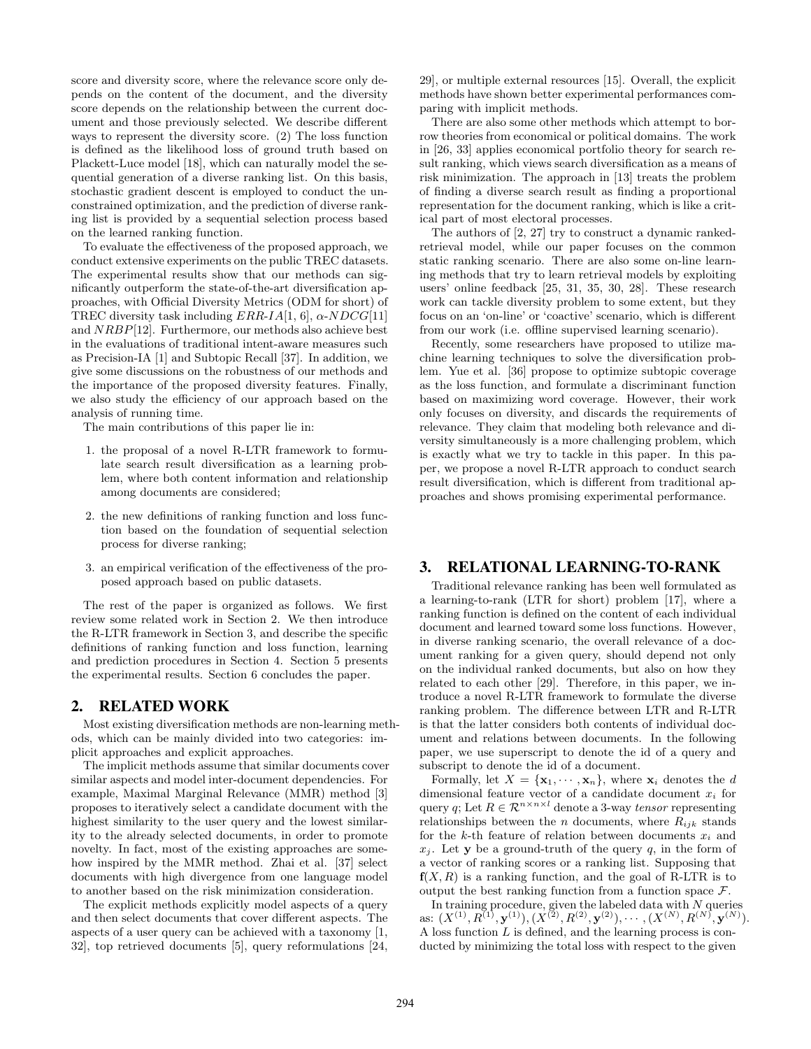score and diversity score, where the relevance score only depends on the content of the document, and the diversity score depends on the relationship between the current document and those previously selected. We describe different ways to represent the diversity score. (2) The loss function is defined as the likelihood loss of ground truth based on Plackett-Luce model [18], which can naturally model the sequential generation of a diverse ranking list. On this basis, stochastic gradient descent is employed to conduct the unconstrained optimization, and the prediction of diverse ranking list is provided by a sequential selection process based on the learned ranking function.

To evaluate the effectiveness of the proposed approach, we conduct extensive experiments on the public TREC datasets. The experimental results show that our methods can significantly outperform the state-of-the-art diversification approaches, with Official Diversity Metrics (ODM for short) of TREC diversity task including *ERR*-*IA*[1, 6], *α*-*NDCG*[11] and *NRBP*[12]. Furthermore, our methods also achieve best in the evaluations of traditional intent-aware measures such as Precision-IA [1] and Subtopic Recall [37]. In addition, we give some discussions on the robustness of our methods and the importance of the proposed diversity features. Finally, we also study the efficiency of our approach based on the analysis of running time.

The main contributions of this paper lie in:

- 1. the proposal of a novel R-LTR framework to formulate search result diversification as a learning problem, where both content information and relationship among documents are considered;
- 2. the new definitions of ranking function and loss function based on the foundation of sequential selection process for diverse ranking;
- 3. an empirical verification of the effectiveness of the proposed approach based on public datasets.

The rest of the paper is organized as follows. We first review some related work in Section 2. We then introduce the R-LTR framework in Section 3, and describe the specific definitions of ranking function and loss function, learning and prediction procedures in Section 4. Section 5 presents the experimental results. Section 6 concludes the paper.

# 2. RELATED WORK

Most existing diversification methods are non-learning methods, which can be mainly divided into two categories: implicit approaches and explicit approaches.

The implicit methods assume that similar documents cover similar aspects and model inter-document dependencies. For example, Maximal Marginal Relevance (MMR) method [3] proposes to iteratively select a candidate document with the highest similarity to the user query and the lowest similarity to the already selected documents, in order to promote novelty. In fact, most of the existing approaches are somehow inspired by the MMR method. Zhai et al. [37] select documents with high divergence from one language model to another based on the risk minimization consideration.

The explicit methods explicitly model aspects of a query and then select documents that cover different aspects. The aspects of a user query can be achieved with a taxonomy [1, 32], top retrieved documents [5], query reformulations [24, 29], or multiple external resources [15]. Overall, the explicit methods have shown better experimental performances comparing with implicit methods.

There are also some other methods which attempt to borrow theories from economical or political domains. The work in [26, 33] applies economical portfolio theory for search result ranking, which views search diversification as a means of risk minimization. The approach in [13] treats the problem of finding a diverse search result as finding a proportional representation for the document ranking, which is like a critical part of most electoral processes.

The authors of [2, 27] try to construct a dynamic rankedretrieval model, while our paper focuses on the common static ranking scenario. There are also some on-line learning methods that try to learn retrieval models by exploiting users' online feedback [25, 31, 35, 30, 28]. These research work can tackle diversity problem to some extent, but they focus on an 'on-line' or 'coactive' scenario, which is different from our work (i.e. offline supervised learning scenario).

Recently, some researchers have proposed to utilize machine learning techniques to solve the diversification problem. Yue et al. [36] propose to optimize subtopic coverage as the loss function, and formulate a discriminant function based on maximizing word coverage. However, their work only focuses on diversity, and discards the requirements of relevance. They claim that modeling both relevance and diversity simultaneously is a more challenging problem, which is exactly what we try to tackle in this paper. In this paper, we propose a novel R-LTR approach to conduct search result diversification, which is different from traditional approaches and shows promising experimental performance.

# 3. RELATIONAL LEARNING-TO-RANK

Traditional relevance ranking has been well formulated as a learning-to-rank (LTR for short) problem [17], where a ranking function is defined on the content of each individual document and learned toward some loss functions. However, in diverse ranking scenario, the overall relevance of a document ranking for a given query, should depend not only on the individual ranked documents, but also on how they related to each other [29]. Therefore, in this paper, we introduce a novel R-LTR framework to formulate the diverse ranking problem. The difference between LTR and R-LTR is that the latter considers both contents of individual document and relations between documents. In the following paper, we use superscript to denote the id of a query and subscript to denote the id of a document.

Formally, let  $X = {\mathbf{x}_1, \cdots, \mathbf{x}_n}$ , where  $\mathbf{x}_i$  denotes the *d* dimensional feature vector of a candidate document *x<sup>i</sup>* for query *q*; Let  $R \in \mathbb{R}^{n \times n \times l}$  denote a 3-way *tensor* representing relationships between the *n* documents, where  $R_{ijk}$  stands for the *k*-th feature of relation between documents *x<sup>i</sup>* and  $x_i$ . Let **y** be a ground-truth of the query *q*, in the form of a vector of ranking scores or a ranking list. Supposing that  $f(X, R)$  is a ranking function, and the goal of R-LTR is to output the best ranking function from a function space *F*.

In training procedure, given the labeled data with *N* queries as:  $(X^{(1)}, R^{(1)}, \mathbf{y}^{(1)}), (X^{(2)}, R^{(2)}, \mathbf{y}^{(2)}), \cdots, (X^{(N)}, R^{(N)}, \mathbf{y}^{(N)})$ . A loss function *L* is defined, and the learning process is conducted by minimizing the total loss with respect to the given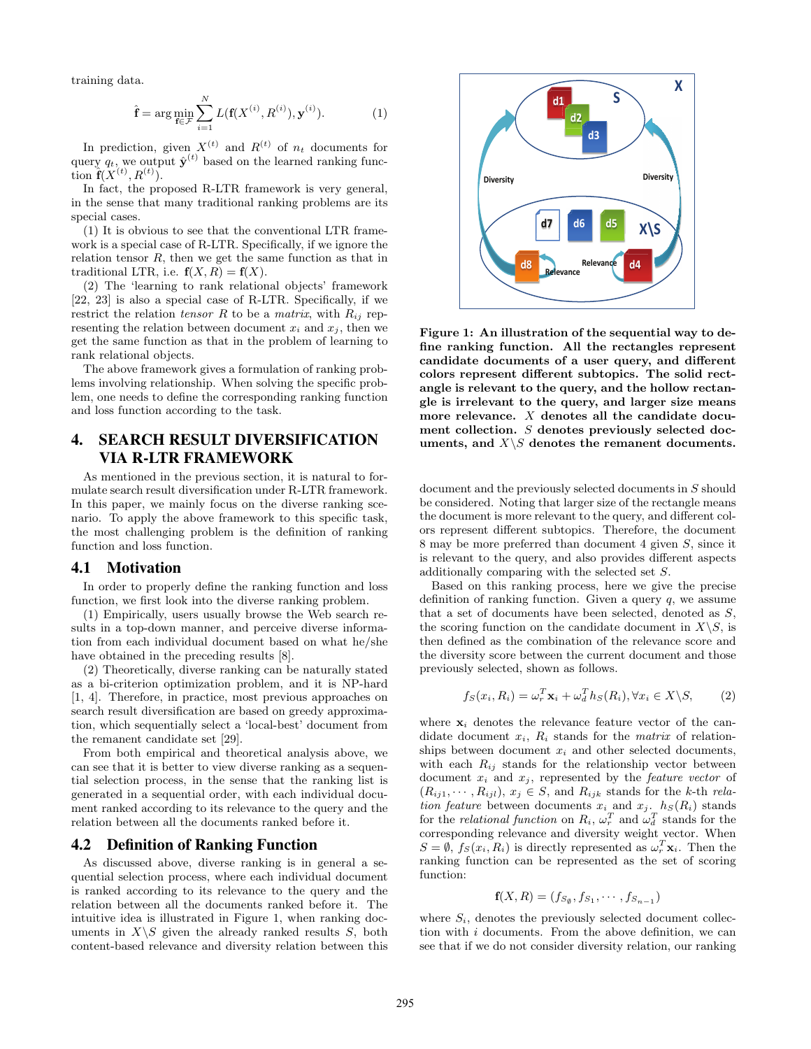training data.

$$
\hat{\mathbf{f}} = \arg\min_{\mathbf{f} \in \mathcal{F}} \sum_{i=1}^{N} L(\mathbf{f}(X^{(i)}, R^{(i)}), \mathbf{y}^{(i)}).
$$
(1)

In prediction, given  $X^{(t)}$  and  $R^{(t)}$  of  $n_t$  documents for query  $q_t$ , we output  $\hat{\mathbf{y}}^{(t)}$  based on the learned ranking func- $\lim_{t \to \infty} \hat{\mathbf{f}}(X^{(t)}, R^{(t)})$ .

In fact, the proposed R-LTR framework is very general, in the sense that many traditional ranking problems are its special cases.

(1) It is obvious to see that the conventional LTR framework is a special case of R-LTR. Specifically, if we ignore the relation tensor *R*, then we get the same function as that in traditional LTR, i.e.  $f(X, R) = f(X)$ .

(2) The 'learning to rank relational objects' framework [22, 23] is also a special case of R-LTR. Specifically, if we restrict the relation *tensor*  $R$  to be a *matrix*, with  $R_{ij}$  representing the relation between document  $x_i$  and  $x_j$ , then we get the same function as that in the problem of learning to rank relational objects.

The above framework gives a formulation of ranking problems involving relationship. When solving the specific problem, one needs to define the corresponding ranking function and loss function according to the task.

# 4. SEARCH RESULT DIVERSIFICATION VIA R-LTR FRAMEWORK

As mentioned in the previous section, it is natural to formulate search result diversification under R-LTR framework. In this paper, we mainly focus on the diverse ranking scenario. To apply the above framework to this specific task, the most challenging problem is the definition of ranking function and loss function.

#### 4.1 Motivation

In order to properly define the ranking function and loss function, we first look into the diverse ranking problem.

(1) Empirically, users usually browse the Web search results in a top-down manner, and perceive diverse information from each individual document based on what he/she have obtained in the preceding results [8].

(2) Theoretically, diverse ranking can be naturally stated as a bi-criterion optimization problem, and it is NP-hard [1, 4]. Therefore, in practice, most previous approaches on search result diversification are based on greedy approximation, which sequentially select a 'local-best' document from the remanent candidate set [29].

From both empirical and theoretical analysis above, we can see that it is better to view diverse ranking as a sequential selection process, in the sense that the ranking list is generated in a sequential order, with each individual document ranked according to its relevance to the query and the relation between all the documents ranked before it.

#### 4.2 Definition of Ranking Function

As discussed above, diverse ranking is in general a sequential selection process, where each individual document is ranked according to its relevance to the query and the relation between all the documents ranked before it. The intuitive idea is illustrated in Figure 1, when ranking documents in  $X \setminus S$  given the already ranked results *S*, both content-based relevance and diversity relation between this



**Figure 1: An illustration of the sequential way to define ranking function. All the rectangles represent candidate documents of a user query, and different colors represent different subtopics. The solid rectangle is relevant to the query, and the hollow rectangle is irrelevant to the query, and larger size means more relevance.** *X* **denotes all the candidate document collection.** *S* **denotes previously selected doc**uments, and  $X \setminus S$  denotes the remanent documents.

document and the previously selected documents in *S* should be considered. Noting that larger size of the rectangle means the document is more relevant to the query, and different colors represent different subtopics. Therefore, the document 8 may be more preferred than document 4 given *S*, since it is relevant to the query, and also provides different aspects additionally comparing with the selected set *S*.

Based on this ranking process, here we give the precise definition of ranking function. Given a query *q*, we assume that a set of documents have been selected, denoted as *S*, the scoring function on the candidate document in  $X \backslash S$ , is then defined as the combination of the relevance score and the diversity score between the current document and those previously selected, shown as follows.

$$
f_S(x_i, R_i) = \omega_r^T \mathbf{x}_i + \omega_d^T h_S(R_i), \forall x_i \in X \backslash S,
$$
 (2)

where  $x_i$  denotes the relevance feature vector of the candidate document  $x_i$ ,  $R_i$  stands for the *matrix* of relationships between document *x<sup>i</sup>* and other selected documents, with each  $R_{ij}$  stands for the relationship vector between document  $x_i$  and  $x_j$ , represented by the *feature vector* of  $(R_{ij1}, \cdots, R_{ijl}), x_j \in S$ , and  $R_{ijk}$  stands for the *k*-th *relation feature* between documents  $x_i$  and  $x_j$ .  $h_S(R_i)$  stands for the *relational function* on  $R_i$ ,  $\omega_r^T$  and  $\omega_d^T$  stands for the corresponding relevance and diversity weight vector. When  $S = \emptyset$ ,  $f_S(x_i, R_i)$  is directly represented as  $\omega_r^T \mathbf{x}_i$ . Then the ranking function can be represented as the set of scoring function:

$$
\mathbf{f}(X,R)=(f_{S_{\emptyset}},f_{S_1},\cdots,f_{S_{n-1}})
$$

where  $S_i$ , denotes the previously selected document collection with *i* documents. From the above definition, we can see that if we do not consider diversity relation, our ranking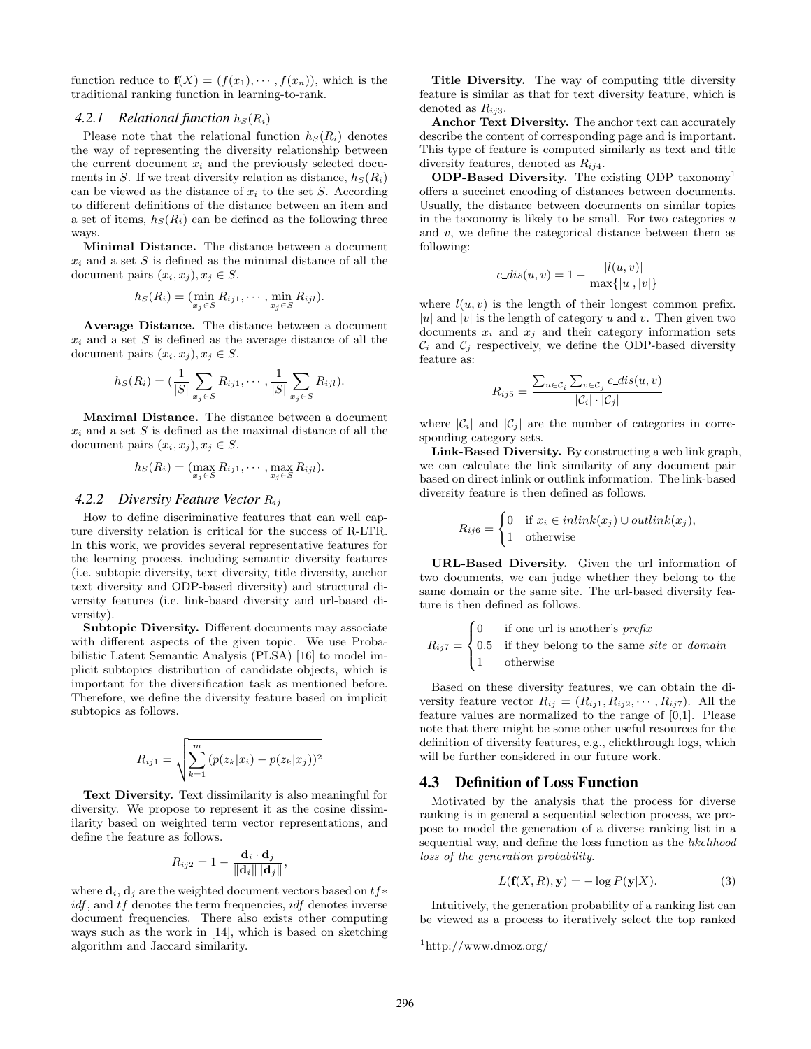function reduce to  $f(X) = (f(x_1), \dots, f(x_n))$ , which is the traditional ranking function in learning-to-rank.

# 4.2.1 Relational function  $h_S(R_i)$

Please note that the relational function  $h<sub>S</sub>(R<sub>i</sub>)$  denotes the way of representing the diversity relationship between the current document  $x_i$  and the previously selected documents in *S*. If we treat diversity relation as distance,  $h<sub>S</sub>(R<sub>i</sub>)$ can be viewed as the distance of *x<sup>i</sup>* to the set *S*. According to different definitions of the distance between an item and a set of items,  $h_S(R_i)$  can be defined as the following three ways.

**Minimal Distance.** The distance between a document  $x_i$  and a set  $S$  is defined as the minimal distance of all the document pairs  $(x_i, x_j), x_j \in S$ .

$$
h_S(R_i) = (\min_{x_j \in S} R_{ij1}, \cdots, \min_{x_j \in S} R_{ijl}).
$$

**Average Distance.** The distance between a document *x<sup>i</sup>* and a set *S* is defined as the average distance of all the document pairs  $(x_i, x_j), x_j \in S$ .

$$
h_S(R_i) = (\frac{1}{|S|} \sum_{x_j \in S} R_{ij1}, \cdots, \frac{1}{|S|} \sum_{x_j \in S} R_{ijl}).
$$

**Maximal Distance.** The distance between a document  $x_i$  and a set  $S$  is defined as the maximal distance of all the document pairs  $(x_i, x_j), x_j \in S$ .

$$
h_S(R_i) = (\max_{x_j \in S} R_{ij1}, \cdots, \max_{x_j \in S} R_{ijl}).
$$

#### *4.2.2 Diversity Feature Vector Rij*

How to define discriminative features that can well capture diversity relation is critical for the success of R-LTR. In this work, we provides several representative features for the learning process, including semantic diversity features (i.e. subtopic diversity, text diversity, title diversity, anchor text diversity and ODP-based diversity) and structural diversity features (i.e. link-based diversity and url-based diversity).

**Subtopic Diversity.** Different documents may associate with different aspects of the given topic. We use Probabilistic Latent Semantic Analysis (PLSA) [16] to model implicit subtopics distribution of candidate objects, which is important for the diversification task as mentioned before. Therefore, we define the diversity feature based on implicit subtopics as follows.

$$
R_{ij1} = \sqrt{\sum_{k=1}^{m} (p(z_k|x_i) - p(z_k|x_j))^2}
$$

**Text Diversity.** Text dissimilarity is also meaningful for diversity. We propose to represent it as the cosine dissimilarity based on weighted term vector representations, and define the feature as follows.

$$
R_{ij2}=1-\frac{\mathbf{d}_i\cdot\mathbf{d}_j}{\|\mathbf{d}_i\|\|\mathbf{d}_j\|},
$$

where  $\mathbf{d}_i$ ,  $\mathbf{d}_j$  are the weighted document vectors based on  $tf*$ *idf*, and *tf* denotes the term frequencies, *idf* denotes inverse document frequencies. There also exists other computing ways such as the work in [14], which is based on sketching algorithm and Jaccard similarity.

**Title Diversity.** The way of computing title diversity feature is similar as that for text diversity feature, which is denoted as *Rij*3.

**Anchor Text Diversity.** The anchor text can accurately describe the content of corresponding page and is important. This type of feature is computed similarly as text and title diversity features, denoted as *Rij*4.

**ODP-Based Diversity.** The existing ODP taxonomy<sup>1</sup> offers a succinct encoding of distances between documents. Usually, the distance between documents on similar topics in the taxonomy is likely to be small. For two categories *u* and *v*, we define the categorical distance between them as following:

$$
c\_dis(u, v) = 1 - \frac{|l(u, v)|}{\max\{|u|, |v|\}}
$$

where  $l(u, v)$  is the length of their longest common prefix. | $u$ | and | $v$ | is the length of category *u* and *v*. Then given two documents  $x_i$  and  $x_j$  and their category information sets  $\mathcal{C}_i$  and  $\mathcal{C}_j$  respectively, we define the ODP-based diversity feature as:

$$
R_{ij5} = \frac{\sum_{u \in \mathcal{C}_i} \sum_{v \in \mathcal{C}_j} c\_dis(u, v)}{|\mathcal{C}_i| \cdot |\mathcal{C}_j|}
$$

where  $|\mathcal{C}_i|$  and  $|\mathcal{C}_j|$  are the number of categories in corresponding category sets.

**Link-Based Diversity.** By constructing a web link graph, we can calculate the link similarity of any document pair based on direct inlink or outlink information. The link-based diversity feature is then defined as follows.

$$
R_{ij6} = \begin{cases} 0 & \text{if } x_i \in inlink(x_j) \cup outlink(x_j), \\ 1 & \text{otherwise} \end{cases}
$$

**URL-Based Diversity.** Given the url information of two documents, we can judge whether they belong to the same domain or the same site. The url-based diversity feature is then defined as follows.

$$
R_{ij7} = \begin{cases} 0 & \text{if one url is another's prefix} \\ 0.5 & \text{if they belong to the same site or domain} \\ 1 & \text{otherwise} \end{cases}
$$

Based on these diversity features, we can obtain the diversity feature vector  $R_{ij} = (R_{ij1}, R_{ij2}, \cdots, R_{ij7})$ . All the feature values are normalized to the range of [0,1]. Please note that there might be some other useful resources for the definition of diversity features, e.g., clickthrough logs, which will be further considered in our future work.

#### 4.3 Definition of Loss Function

Motivated by the analysis that the process for diverse ranking is in general a sequential selection process, we propose to model the generation of a diverse ranking list in a sequential way, and define the loss function as the *likelihood loss of the generation probability*.

$$
L(\mathbf{f}(X,R), \mathbf{y}) = -\log P(\mathbf{y}|X). \tag{3}
$$

Intuitively, the generation probability of a ranking list can be viewed as a process to iteratively select the top ranked

 $1$ http://www.dmoz.org/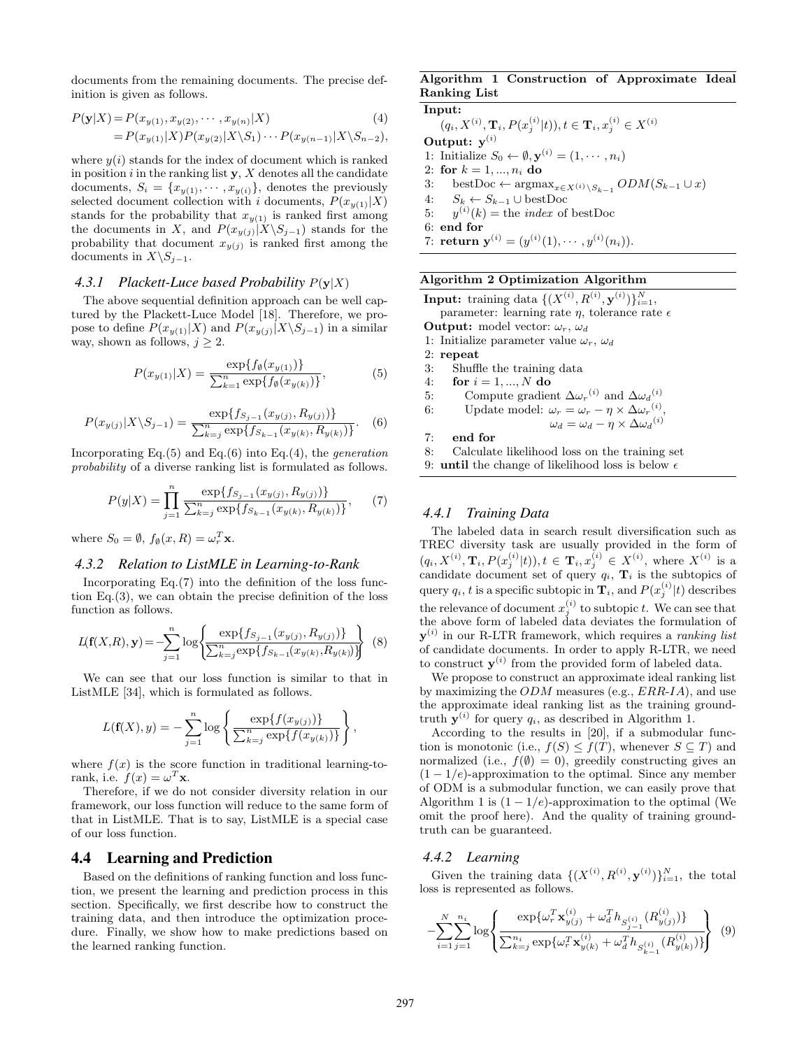documents from the remaining documents. The precise definition is given as follows.

$$
P(\mathbf{y}|X) = P(x_{y(1)}, x_{y(2)}, \cdots, x_{y(n)}|X)
$$
\n
$$
= P(x_{y(1)}|X)P(x_{y(2)}|X\setminus S_1)\cdots P(x_{y(n-1)}|X\setminus S_{n-2}),
$$
\n(4)

where  $y(i)$  stands for the index of document which is ranked in position *i* in the ranking list **y**, *X* denotes all the candidate documents,  $S_i = \{x_{y(1)}, \dots, x_{y(i)}\}$ , denotes the previously selected document collection with *i* documents,  $P(x_{y(1)}|X)$ stands for the probability that  $x_{y(1)}$  is ranked first among the documents in *X*, and  $P(x_{y(j)}|X \setminus S_{j-1})$  stands for the probability that document  $x_{y(i)}$  is ranked first among the documents in  $X \setminus S_{j-1}$ .

#### *4.3.1 Plackett-Luce based Probability P*(**y***|X*)

The above sequential definition approach can be well captured by the Plackett-Luce Model [18]. Therefore, we propose to define  $P(x_{y(1)}|X)$  and  $P(x_{y(j)}|X\setminus S_{j-1})$  in a similar way, shown as follows,  $j \geq 2$ .

$$
P(x_{y(1)}|X) = \frac{\exp\{f_{\emptyset}(x_{y(1)})\}}{\sum_{k=1}^{n} \exp\{f_{\emptyset}(x_{y(k)})\}},
$$
(5)

$$
P(x_{y(j)}|X\backslash S_{j-1}) = \frac{\exp\{f_{S_{j-1}}(x_{y(j)}, R_{y(j)})\}}{\sum_{k=j}^{n} \exp\{f_{S_{k-1}}(x_{y(k)}, R_{y(k)})\}}.
$$
 (6)

Incorporating Eq.(5) and Eq.(6) into Eq.(4), the *generation probability* of a diverse ranking list is formulated as follows.

$$
P(y|X) = \prod_{j=1}^{n} \frac{\exp\{f_{S_{j-1}}(x_{y(j)}, R_{y(j)})\}}{\sum_{k=j}^{n} \exp\{f_{S_{k-1}}(x_{y(k)}, R_{y(k)})\}},\tag{7}
$$

where  $S_0 = \emptyset$ ,  $f_{\emptyset}(x, R) = \omega_r^T \mathbf{x}$ .

#### *4.3.2 Relation to ListMLE in Learning-to-Rank*

Incorporating Eq.(7) into the definition of the loss function Eq. $(3)$ , we can obtain the precise definition of the loss function as follows.

$$
L(\mathbf{f}(X,R), \mathbf{y}) = -\sum_{j=1}^{n} \log \left\{ \frac{\exp\{f_{S_{j-1}}(x_{y(j)}, R_{y(j)})\}}{\sum_{k=j}^{n} \exp\{f_{S_{k-1}}(x_{y(k)}, R_{y(k)})\}} \right\}
$$
(8)

We can see that our loss function is similar to that in ListMLE [34], which is formulated as follows.

$$
L(\mathbf{f}(X), y) = -\sum_{j=1}^{n} \log \left\{ \frac{\exp\{f(x_{y(j)})\}}{\sum_{k=j}^{n} \exp\{f(x_{y(k)})\}} \right\},\,
$$

where  $f(x)$  is the score function in traditional learning-torank, i.e.  $f(x) = \omega^T x$ .

Therefore, if we do not consider diversity relation in our framework, our loss function will reduce to the same form of that in ListMLE. That is to say, ListMLE is a special case of our loss function.

# 4.4 Learning and Prediction

Based on the definitions of ranking function and loss function, we present the learning and prediction process in this section. Specifically, we first describe how to construct the training data, and then introduce the optimization procedure. Finally, we show how to make predictions based on the learned ranking function.

## **Algorithm 1 Construction of Approximate Ideal Ranking List**

**Input:**

 $(q_i, X^{(i)}, \mathbf{T}_i, P(x_j^{(i)}|t)), t \in \mathbf{T}_i, x_j^{(i)} \in X^{(i)}$ 

**Output: y**(*i*)

1: Initialize  $S_0 \leftarrow \emptyset, \mathbf{y}^{(i)} = (1, \dots, n_i)$ 

2: **for** *k* = 1*, ..., n<sup>i</sup>* **do**

- 3: bestDoc  $\leftarrow$  argmax<sub>*x∈X*</sub>(*i*) $\setminus S_{k-1}$  *ODM*(*S<sub>k−1</sub> ∪ x*)
- 4:  $S_k \leftarrow S_{k-1} \cup \text{bestDoc}$ <br>5:  $y^{(i)}(k) = \text{the index of}$
- 5:  $y^{(i)}(k) = \text{the index of bestDoc}$
- 6: **end for**

7: return 
$$
y^{(i)} = (y^{(i)}(1), \cdots, y^{(i)}(n_i)).
$$

# **Algorithm 2 Optimization Algorithm**

 $\textbf{Input:} \ \ \text{training data} \ \{ (X^{(i)}, R^{(i)}, \mathbf{y}^{(i)}) \}_{i=1}^N,$ 

parameter: learning rate *η*, tolerance rate *ϵ* **Output:** model vector: *ωr*, *ω<sup>d</sup>*

1: Initialize parameter value  $\omega_r$ ,  $\omega_d$ 

- 2: **repeat**
- 3: Shuffle the training data
- 4: **for** *i* = 1*, ..., N* **do**
- 5: Compute gradient  $\Delta \omega_r^{(i)}$  and  $\Delta \omega_d^{(i)}$
- 6: Update model:  $\omega_r = \omega_r \eta \times \Delta \omega_r^{(i)}$ ,

$$
\omega_d = \omega_d - \eta \times \Delta {\omega_d}^{(i)}
$$

7: **end for**

8: Calculate likelihood loss on the training set

9: **until** the change of likelihood loss is below  $\epsilon$ 

# *4.4.1 Training Data*

The labeled data in search result diversification such as TREC diversity task are usually provided in the form of  $(q_i, X^{(i)}, \mathbf{T}_i, P(x_j^{(i)}|t)), t \in \mathbf{T}_i, x_j^{(i)} \in X^{(i)},$  where  $X^{(i)}$  is a candidate document set of query  $q_i$ ,  $\mathbf{T}_i$  is the subtopics of query  $q_i$ , *t* is a specific subtopic in  $\mathbf{T}_i$ , and  $P(x_j^{(i)}|t)$  describes the relevance of document  $x_j^{(i)}$  to subtopic *t*. We can see that the above form of labeled data deviates the formulation of **y** (*i*) in our R-LTR framework, which requires a *ranking list* of candidate documents. In order to apply R-LTR, we need to construct  $y^{(i)}$  from the provided form of labeled data.

We propose to construct an approximate ideal ranking list by maximizing the *ODM* measures (e.g., *ERR*-*IA*), and use the approximate ideal ranking list as the training groundtruth  $y^{(i)}$  for query  $q_i$ , as described in Algorithm 1.

According to the results in [20], if a submodular function is monotonic (i.e.,  $f(S) \leq f(T)$ , whenever  $S \subseteq T$ ) and normalized (i.e.,  $f(\emptyset) = 0$ ), greedily constructing gives an (1 *−* 1*/e*)-approximation to the optimal. Since any member of ODM is a submodular function, we can easily prove that Algorithm 1 is  $(1 - 1/e)$ -approximation to the optimal (We omit the proof here). And the quality of training groundtruth can be guaranteed.

#### *4.4.2 Learning*

Given the training data  $\{(X^{(i)}, R^{(i)}, \mathbf{y}^{(i)})\}_{i=1}^N$ , the total loss is represented as follows.

$$
-\sum_{i=1}^{N} \sum_{j=1}^{n_i} \log \left\{ \frac{\exp \{ \omega_r^T \mathbf{x}_{y(j)}^{(i)} + \omega_d^T h_{S_{j-1}^{(i)}} (R_{y(j)}^{(i)}) \}}{\sum_{k=j}^{n_i} \exp \{ \omega_r^T \mathbf{x}_{y(k)}^{(i)} + \omega_d^T h_{S_{k-1}^{(i)}} (R_{y(k)}^{(i)}) \}} \right\} (9)
$$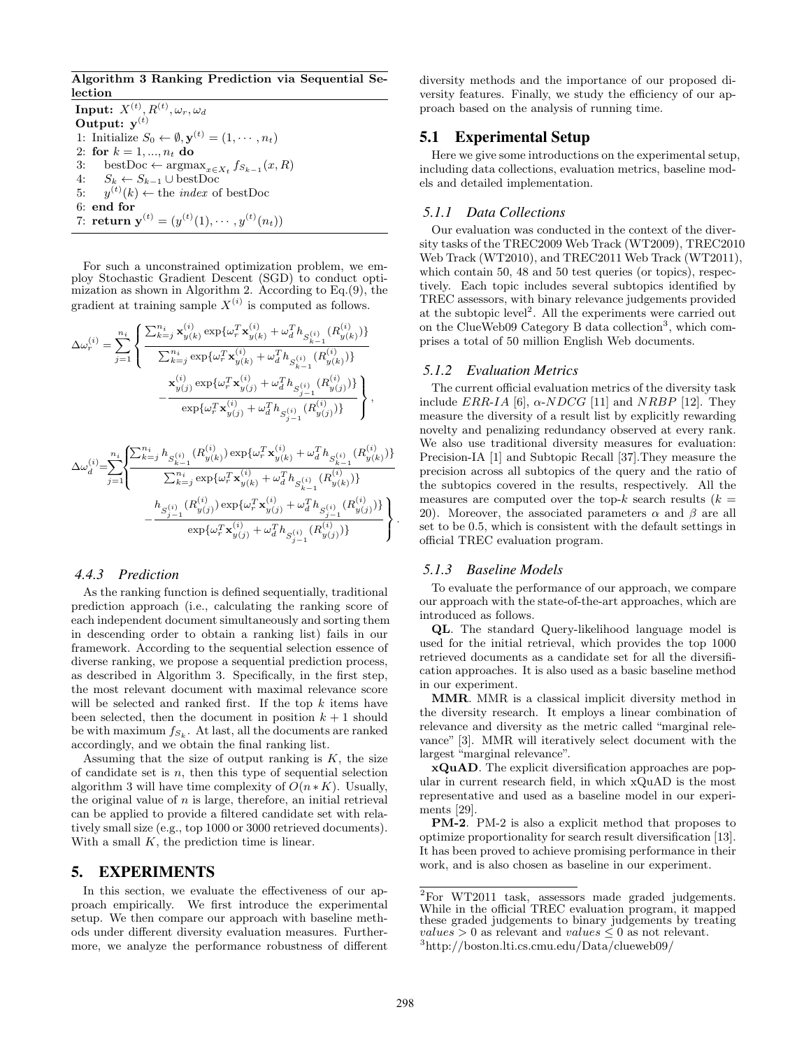**Algorithm 3 Ranking Prediction via Sequential Selection**

 $\mathbf{Input:} \ \ X^{(t)}, R^{(t)}, \omega_r, \omega_d$ **Output: y**(*t*) 1: Initialize  $S_0 \leftarrow \emptyset, \mathbf{y}^{(t)} = (1, \dots, n_t)$ 2: **for** *k* = 1*, ..., n<sup>t</sup>* **do** 3: bestDoc  $\leftarrow$  argmax<sub>*x*∈*Xt*</sub>  $f_{S_{k-1}}(x, R)$ 4: *S<sup>k</sup> ← S<sup>k</sup>−*<sup>1</sup> *∪* bestDoc 5:  $y^{(t)}(k) \leftarrow$  the *index* of bestDoc 6: **end for** 7: **return**  $y^{(t)} = (y^{(t)}(1), \cdots, y^{(t)}(n_t))$ 

For such a unconstrained optimization problem, we employ Stochastic Gradient Descent (SGD) to conduct optimization as shown in Algorithm 2. According to Eq. $(9)$ , the gradient at training sample  $X^{(i)}$  is computed as follows.

$$
\Delta\omega_r^{(i)} = \sum_{j=1}^{n_i} \left\{ \frac{\sum_{k=j}^{n_i} \mathbf{x}_{y(k)}^{(i)} \exp{\{\omega_r^T \mathbf{x}_{y(k)}^{(i)} + \omega_d^T h_{S_{k-1}^{(i)}}(R_{y(k)}^{(i)})\}}{\sum_{k=j}^{n_i} \exp{\{\omega_r^T \mathbf{x}_{y(k)}^{(i)} + \omega_d^T h_{S_{k-1}^{(i)}}(R_{y(k)}^{(i)})\}} - \frac{\mathbf{x}_{y(j)}^{(i)} \exp{\{\omega_r^T \mathbf{x}_{y(j)}^{(i)} + \omega_d^T h_{S_{j-1}^{(i)}}(R_{y(j)}^{(i)})\}}}{\exp{\{\omega_r^T \mathbf{x}_{y(j)}^{(i)} + \omega_d^T h_{S_{j-1}^{(i)}}(R_{y(j)}^{(i)})\}}},
$$

$$
\label{eq:delta} \begin{split} \Delta\omega_d^{(i)}\!\!=\!\!\!\!\sum_{j=1}^{n_i}\!\!\left\{\! \frac{\sum_{k=j}^{n_i}h_{S_{k-1}^{(i)}}\big(R_{y(k)}^{(i)}\big)\exp\{\omega_r^T\mathbf{x}_{y(k)}^{(i)}+\omega_d^Th_{S_{k-1}^{(i)}}\big(R_{y(k)}^{(i)}\big)\}\!}{\sum_{k=j}^{n_i}\exp\{\omega_r^T\mathbf{x}_{y(k)}^{(i)}+\omega_d^Th_{S_{k-1}^{(i)}}\{R_{y(k)}^{(i)}\}\}}\\ &\quad-\frac{h_{S_{j-1}^{(i)}}\big(R_{y(j)}^{(i)}\big)\exp\{\omega_r^T\mathbf{x}_{y(j)}^{(i)}+\omega_d^Th_{S_{j-1}^{(i)}}\{R_{y(j)}^{(i)}\}\}\!}{\exp\{\omega_r^T\mathbf{x}_{y(j)}^{(i)}+\omega_d^Th_{S_{j-1}^{(i)}}\{R_{y(j)}^{(i)}\}\}}\!\right\} \end{split}
$$

# *4.4.3 Prediction*

As the ranking function is defined sequentially, traditional prediction approach (i.e., calculating the ranking score of each independent document simultaneously and sorting them in descending order to obtain a ranking list) fails in our framework. According to the sequential selection essence of diverse ranking, we propose a sequential prediction process, as described in Algorithm 3. Specifically, in the first step, the most relevant document with maximal relevance score will be selected and ranked first. If the top *k* items have been selected, then the document in position  $k + 1$  should be with maximum *f<sup>S</sup><sup>k</sup>* . At last, all the documents are ranked accordingly, and we obtain the final ranking list.

Assuming that the size of output ranking is *K*, the size of candidate set is *n*, then this type of sequential selection algorithm 3 will have time complexity of  $O(n*K)$ . Usually, the original value of *n* is large, therefore, an initial retrieval can be applied to provide a filtered candidate set with relatively small size (e.g., top 1000 or 3000 retrieved documents). With a small *K*, the prediction time is linear.

## 5. EXPERIMENTS

In this section, we evaluate the effectiveness of our approach empirically. We first introduce the experimental setup. We then compare our approach with baseline methods under different diversity evaluation measures. Furthermore, we analyze the performance robustness of different diversity methods and the importance of our proposed diversity features. Finally, we study the efficiency of our approach based on the analysis of running time.

# 5.1 Experimental Setup

Here we give some introductions on the experimental setup, including data collections, evaluation metrics, baseline models and detailed implementation.

#### *5.1.1 Data Collections*

Our evaluation was conducted in the context of the diversity tasks of the TREC2009 Web Track (WT2009), TREC2010 Web Track (WT2010), and TREC2011 Web Track (WT2011), which contain 50, 48 and 50 test queries (or topics), respectively. Each topic includes several subtopics identified by TREC assessors, with binary relevance judgements provided at the subtopic level<sup>2</sup>. All the experiments were carried out on the ClueWeb09 Category B data collection<sup>3</sup>, which comprises a total of 50 million English Web documents.

## *5.1.2 Evaluation Metrics*

The current official evaluation metrics of the diversity task include *ERR-IA* [6],  $\alpha$ -*NDCG* [11] and *NRBP* [12]. They measure the diversity of a result list by explicitly rewarding novelty and penalizing redundancy observed at every rank. We also use traditional diversity measures for evaluation: Precision-IA [1] and Subtopic Recall [37].They measure the precision across all subtopics of the query and the ratio of the subtopics covered in the results, respectively. All the measures are computed over the top- $k$  search results ( $k =$ 20). Moreover, the associated parameters *α* and *β* are all set to be 0.5, which is consistent with the default settings in official TREC evaluation program.

#### *5.1.3 Baseline Models*

To evaluate the performance of our approach, we compare our approach with the state-of-the-art approaches, which are introduced as follows.

**QL**. The standard Query-likelihood language model is used for the initial retrieval, which provides the top 1000 retrieved documents as a candidate set for all the diversification approaches. It is also used as a basic baseline method in our experiment.

**MMR**. MMR is a classical implicit diversity method in the diversity research. It employs a linear combination of relevance and diversity as the metric called "marginal relevance" [3]. MMR will iteratively select document with the largest "marginal relevance".

**xQuAD**. The explicit diversification approaches are popular in current research field, in which xQuAD is the most representative and used as a baseline model in our experiments [29].

**PM-2**. PM-2 is also a explicit method that proposes to optimize proportionality for search result diversification [13]. It has been proved to achieve promising performance in their work, and is also chosen as baseline in our experiment.

*.*

 ${}^{2}$ For WT2011 task, assessors made graded judgements. While in the official TREC evaluation program, it mapped these graded judgements to binary judgements by treating *values*  $> 0$  as relevant and *values*  $\leq 0$  as not relevant.

<sup>3</sup>http://boston.lti.cs.cmu.edu/Data/clueweb09/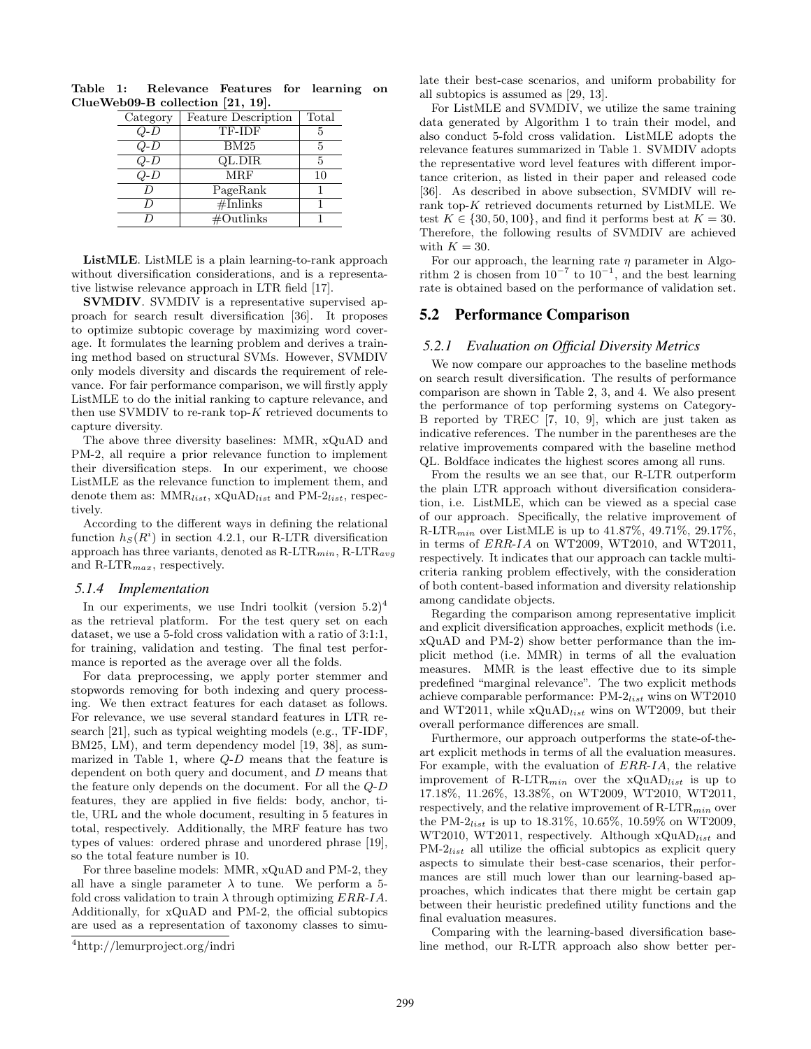| Category  | <b>Feature Description</b> | Total |
|-----------|----------------------------|-------|
| Q-D       | TF-IDF                     | 5     |
| $Q$ - $D$ | BM25                       | 5     |
| Q-D       | QL.DIR                     | 5     |
| O-D       | <b>MRF</b>                 | 10    |
|           | PageRank                   |       |
|           | #Inlinks                   |       |
|           | $\#$ Outlinks              |       |

**Table 1: Relevance Features for learning on ClueWeb09-B collection [21, 19].**

**ListMLE**. ListMLE is a plain learning-to-rank approach without diversification considerations, and is a representative listwise relevance approach in LTR field [17].

**SVMDIV**. SVMDIV is a representative supervised approach for search result diversification [36]. It proposes to optimize subtopic coverage by maximizing word coverage. It formulates the learning problem and derives a training method based on structural SVMs. However, SVMDIV only models diversity and discards the requirement of relevance. For fair performance comparison, we will firstly apply ListMLE to do the initial ranking to capture relevance, and then use SVMDIV to re-rank top-*K* retrieved documents to capture diversity.

The above three diversity baselines: MMR, xQuAD and PM-2, all require a prior relevance function to implement their diversification steps. In our experiment, we choose ListMLE as the relevance function to implement them, and denote them as: MMR*list*, xQuAD*list* and PM-2*list*, respectively.

According to the different ways in defining the relational function  $h<sub>S</sub>(R<sup>i</sup>)$  in section 4.2.1, our R-LTR diversification approach has three variants, denoted as R-LTR*min*, R-LTR*avg* and R-LTR*max*, respectively.

#### *5.1.4 Implementation*

In our experiments, we use Indri toolkit (version  $5.2$ )<sup>4</sup> as the retrieval platform. For the test query set on each dataset, we use a 5-fold cross validation with a ratio of 3:1:1, for training, validation and testing. The final test performance is reported as the average over all the folds.

For data preprocessing, we apply porter stemmer and stopwords removing for both indexing and query processing. We then extract features for each dataset as follows. For relevance, we use several standard features in LTR research [21], such as typical weighting models (e.g., TF-IDF, BM25, LM), and term dependency model [19, 38], as summarized in Table 1, where *Q*-*D* means that the feature is dependent on both query and document, and *D* means that the feature only depends on the document. For all the *Q*-*D* features, they are applied in five fields: body, anchor, title, URL and the whole document, resulting in 5 features in total, respectively. Additionally, the MRF feature has two types of values: ordered phrase and unordered phrase [19], so the total feature number is 10.

For three baseline models: MMR, xQuAD and PM-2, they all have a single parameter  $\lambda$  to tune. We perform a 5fold cross validation to train *λ* through optimizing *ERR*-*IA*. Additionally, for xQuAD and PM-2, the official subtopics are used as a representation of taxonomy classes to simulate their best-case scenarios, and uniform probability for all subtopics is assumed as [29, 13].

For ListMLE and SVMDIV, we utilize the same training data generated by Algorithm 1 to train their model, and also conduct 5-fold cross validation. ListMLE adopts the relevance features summarized in Table 1. SVMDIV adopts the representative word level features with different importance criterion, as listed in their paper and released code [36]. As described in above subsection, SVMDIV will rerank top-*K* retrieved documents returned by ListMLE. We test  $K \in \{30, 50, 100\}$ , and find it performs best at  $K = 30$ . Therefore, the following results of SVMDIV are achieved with  $K = 30$ .

For our approach, the learning rate *η* parameter in Algorithm 2 is chosen from  $10^{-7}$  to  $10^{-1}$ , and the best learning rate is obtained based on the performance of validation set.

# 5.2 Performance Comparison

#### *5.2.1 Evaluation on Official Diversity Metrics*

We now compare our approaches to the baseline methods on search result diversification. The results of performance comparison are shown in Table 2, 3, and 4. We also present the performance of top performing systems on Category-B reported by TREC [7, 10, 9], which are just taken as indicative references. The number in the parentheses are the relative improvements compared with the baseline method QL. Boldface indicates the highest scores among all runs.

From the results we an see that, our R-LTR outperform the plain LTR approach without diversification consideration, i.e. ListMLE, which can be viewed as a special case of our approach. Specifically, the relative improvement of R-LTR*min* over ListMLE is up to 41.87%, 49.71%, 29.17%, in terms of *ERR*-*IA* on WT2009, WT2010, and WT2011, respectively. It indicates that our approach can tackle multicriteria ranking problem effectively, with the consideration of both content-based information and diversity relationship among candidate objects.

Regarding the comparison among representative implicit and explicit diversification approaches, explicit methods (i.e. xQuAD and PM-2) show better performance than the implicit method (i.e. MMR) in terms of all the evaluation measures. MMR is the least effective due to its simple predefined "marginal relevance". The two explicit methods achieve comparable performance: PM-2*list* wins on WT2010 and WT2011, while xQuAD*list* wins on WT2009, but their overall performance differences are small.

Furthermore, our approach outperforms the state-of-theart explicit methods in terms of all the evaluation measures. For example, with the evaluation of *ERR*-*IA*, the relative improvement of R-LTR*min* over the xQuAD*list* is up to 17.18%, 11.26%, 13.38%, on WT2009, WT2010, WT2011, respectively, and the relative improvement of R-LTR*min* over the PM-2*list* is up to 18.31%, 10.65%, 10.59% on WT2009, WT2010, WT2011, respectively. Although xQuAD*list* and PM-2*list* all utilize the official subtopics as explicit query aspects to simulate their best-case scenarios, their performances are still much lower than our learning-based approaches, which indicates that there might be certain gap between their heuristic predefined utility functions and the final evaluation measures.

Comparing with the learning-based diversification baseline method, our R-LTR approach also show better per-

<sup>4</sup>http://lemurproject.org/indri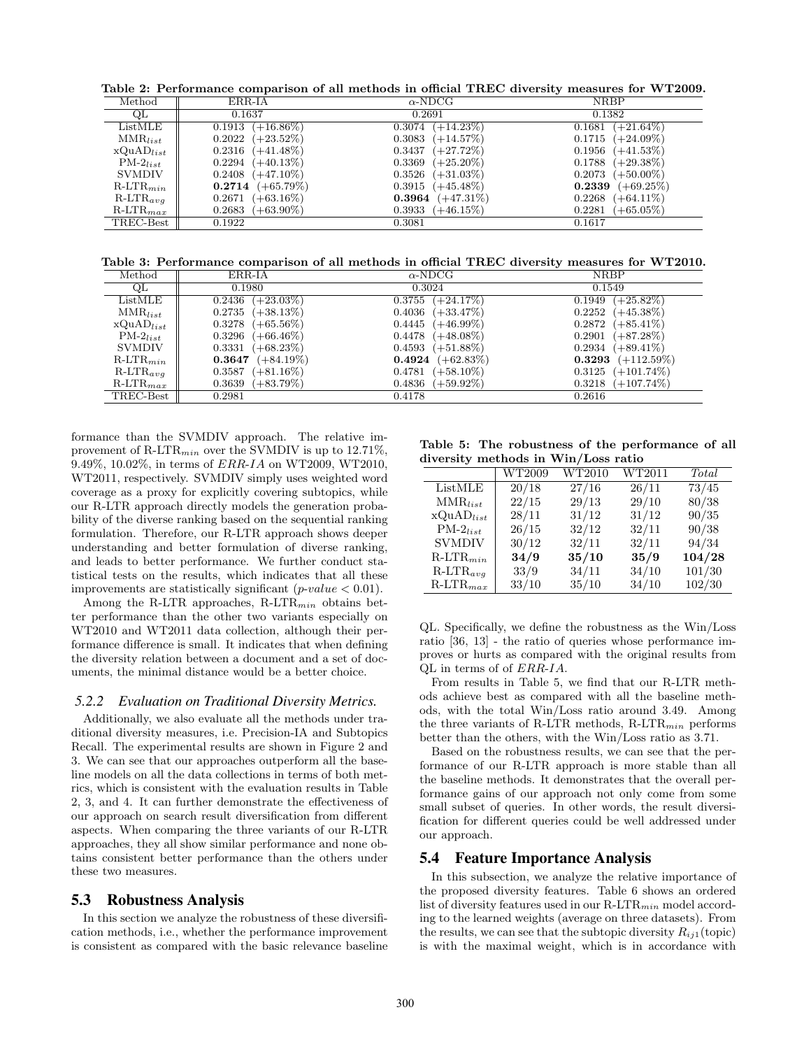**Table 2: Performance comparison of all methods in official TREC diversity measures for WT2009.**

| Method         | ERR-IA                 | $\alpha$ -NDCG               | <b>NRBP</b>            |
|----------------|------------------------|------------------------------|------------------------|
| QL             | 0.1637                 | 0.2691                       | 0.1382                 |
| ListMLE        | $(+16.86\%)$<br>0.1913 | $(+14.23\%)$<br>0.3074       | $(+21.64\%)$<br>0.1681 |
| $MMR_{list}$   | $(+23.52\%)$<br>0.2022 | $(+14.57%)$<br>0.3083        | $0.1715 (+24.09\%)$    |
| $xQuAD_{list}$ | $(+41.48\%)$<br>0.2316 | $(+27.72\%)$<br>0.3437       | $(+41.53\%)$<br>0.1956 |
| $PM-2_{list}$  | $(+40.13\%)$<br>0.2294 | 0.3369<br>$(+25.20\%)$       | $0.1788$ $(+29.38\%)$  |
| <b>SVMDIV</b>  | 0.2408<br>$(+47.10\%)$ | 0.3526<br>$(+31.03\%)$       | $0.2073$ (+50.00%)     |
| $R-LTR_{min}$  | $(+65.79\%)$<br>0.2714 | $(+45.48\%)$<br>0.3915       | $(+69.25\%)$<br>0.2339 |
| $R-LTR_{avg}$  | $(+63.16\%)$<br>0.2671 | $(+47.31\%)$<br>$\bf 0.3964$ | $(+64.11\%)$<br>0.2268 |
| $R-LTR_{max}$  | 0.2683<br>$(+63.90\%)$ | 0.3933<br>$(+46.15\%)$       | $(+65.05\%)$<br>0.2281 |
| TREC-Best      | 0.1922                 | 0.3081                       | 0.1617                 |

**Table 3: Performance comparison of all methods in official TREC diversity measures for WT2010.**

| Method            | ERR-IA                      | $\alpha$ -NDCG         | <b>NRBP</b>             |
|-------------------|-----------------------------|------------------------|-------------------------|
| QL                | 0.1980                      | 0.3024                 | 0.1549                  |
| ListMLE           | $(+23.03\%)$<br>0.2436      | $(+24.17%)$<br>0.3755  | $(+25.82\%)$<br>0.1949  |
| $MMR_{list}$      | $(+38.13\%)$<br>0.2735      | $(+33.47\%)$<br>0.4036 | $(+45.38\%)$<br>0.2252  |
| $xQuAD_{list}$    | $(+65.56\%)$<br>0.3278      | 0.4445<br>$(+46.99\%)$ | 0.2872<br>$(+85.41\%)$  |
| $PM-2_{list}$     | 0.3296<br>$(+66.46\%)$      | 0.4478<br>$(+48.08\%)$ | 0.2901<br>$(+87.28\%)$  |
| <b>SVMDIV</b>     | $(+68.23\%)$<br>0.3331      | $(+51.88\%)$<br>0.4593 | $0.2934 (+89.41\%)$     |
| $R-LTR_{min}$     | $(+84.19\%)$<br>$\bf0.3647$ | $0.4924$ $(+62.83\%)$  | $(+112.59\%)$<br>0.3293 |
| $R-LTR_{avg}$     | 0.3587<br>$(+81.16\%)$      | 0.4781<br>$(+58.10\%)$ | $0.3125 (+101.74\%)$    |
| $R$ -LT $R_{max}$ | $(+83.79\%)$<br>0.3639      | $(+59.92\%)$<br>0.4836 | $0.3218$ $(+107.74\%)$  |
| TREC-Best         | 0.2981                      | 0.4178                 | 0.2616                  |

formance than the SVMDIV approach. The relative improvement of R-LTR*min* over the SVMDIV is up to 12.71%, 9.49%, 10.02%, in terms of *ERR*-*IA* on WT2009, WT2010, WT2011, respectively. SVMDIV simply uses weighted word coverage as a proxy for explicitly covering subtopics, while our R-LTR approach directly models the generation probability of the diverse ranking based on the sequential ranking formulation. Therefore, our R-LTR approach shows deeper understanding and better formulation of diverse ranking, and leads to better performance. We further conduct statistical tests on the results, which indicates that all these improvements are statistically significant (*p*-*value <* 0*.*01).

Among the R-LTR approaches, R-LTR*min* obtains better performance than the other two variants especially on WT2010 and WT2011 data collection, although their performance difference is small. It indicates that when defining the diversity relation between a document and a set of documents, the minimal distance would be a better choice.

#### *5.2.2 Evaluation on Traditional Diversity Metrics.*

Additionally, we also evaluate all the methods under traditional diversity measures, i.e. Precision-IA and Subtopics Recall. The experimental results are shown in Figure 2 and 3. We can see that our approaches outperform all the baseline models on all the data collections in terms of both metrics, which is consistent with the evaluation results in Table 2, 3, and 4. It can further demonstrate the effectiveness of our approach on search result diversification from different aspects. When comparing the three variants of our R-LTR approaches, they all show similar performance and none obtains consistent better performance than the others under these two measures.

#### 5.3 Robustness Analysis

In this section we analyze the robustness of these diversification methods, i.e., whether the performance improvement is consistent as compared with the basic relevance baseline

**Table 5: The robustness of the performance of all diversity methods in Win/Loss ratio**

|                   | WT2009 | WT2010 | WT2011 | Total  |
|-------------------|--------|--------|--------|--------|
| ListMLE           | 20/18  | 27/16  | 26/11  | 73/45  |
| $MMR_{list}$      | 22/15  | 29/13  | 29/10  | 80/38  |
| $xQuAD_{list}$    | 28/11  | 31/12  | 31/12  | 90/35  |
| $PM-2_{list}$     | 26/15  | 32/12  | 32/11  | 90/38  |
| <b>SVMDIV</b>     | 30/12  | 32/11  | 32/11  | 94/34  |
| $R$ -LT $R_{min}$ | 34/9   | 35/10  | 35/9   | 104/28 |
| $R-LTR_{avg}$     | 33/9   | 34/11  | 34/10  | 101/30 |
| $R$ -LT $R_{max}$ | 33/10  | 35/10  | 34/10  | 102/30 |

QL. Specifically, we define the robustness as the Win/Loss ratio [36, 13] - the ratio of queries whose performance improves or hurts as compared with the original results from QL in terms of of *ERR*-*IA*.

From results in Table 5, we find that our R-LTR methods achieve best as compared with all the baseline methods, with the total Win/Loss ratio around 3.49. Among the three variants of R-LTR methods, R-LTR*min* performs better than the others, with the Win/Loss ratio as 3.71.

Based on the robustness results, we can see that the performance of our R-LTR approach is more stable than all the baseline methods. It demonstrates that the overall performance gains of our approach not only come from some small subset of queries. In other words, the result diversification for different queries could be well addressed under our approach.

#### 5.4 Feature Importance Analysis

In this subsection, we analyze the relative importance of the proposed diversity features. Table 6 shows an ordered list of diversity features used in our R-LTR*min* model according to the learned weights (average on three datasets). From the results, we can see that the subtopic diversity  $R_{ij1}$ (topic) is with the maximal weight, which is in accordance with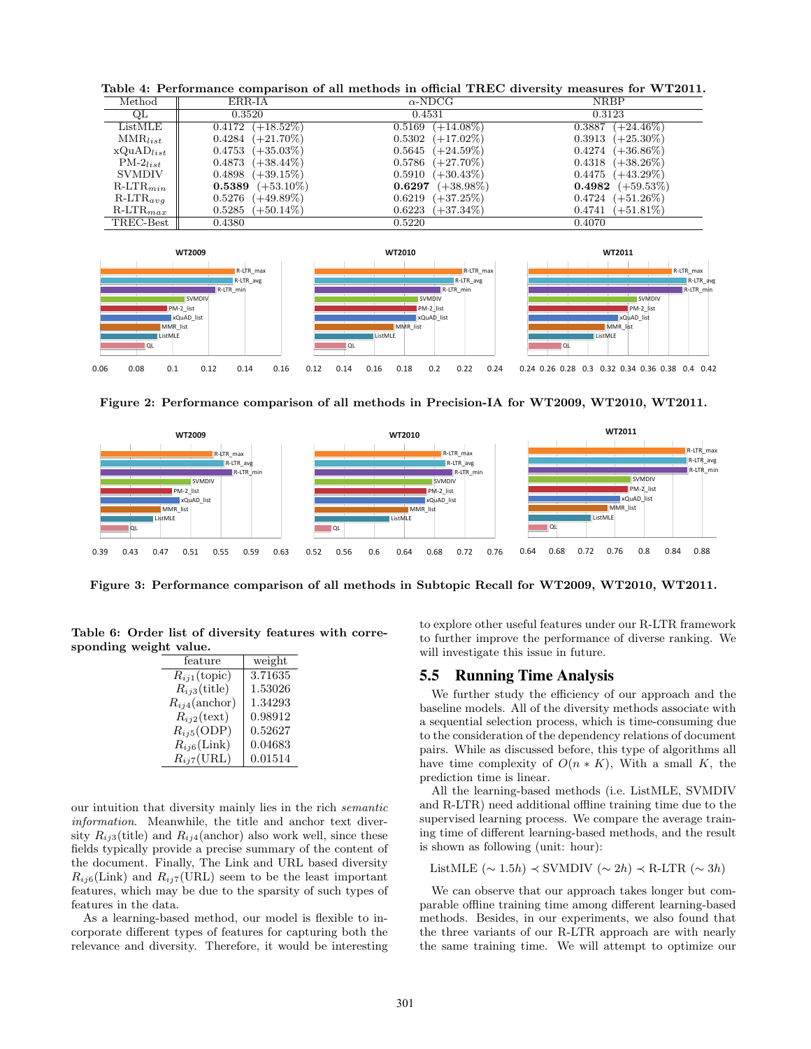**Table 4: Performance comparison of all methods in official TREC diversity measures for WT2011.**

| Method         | ERR-IA       | $\alpha$ -NDCG | <b>NRBP</b>  |
|----------------|--------------|----------------|--------------|
| QL             | 0.3520       | 0.4531         | 0.3123       |
| ListMLE        | $(+18.52\%)$ | $(+14.08\%)$   | $(+24.46\%)$ |
|                | 0.4172       | 0.5169         | 0.3887       |
| $MMR_{list}$   | $(+21.70\%)$ | $(+17.02\%)$   | $(+25.30\%)$ |
|                | 0.4284       | 0.5302         | 0.3913       |
| $xQuAD_{list}$ | $(+35.03\%)$ | 0.5645         | $(+36.86\%)$ |
|                | 0.4753       | $(+24.59\%)$   | 0.4274       |
| $PM-2_{list}$  | $(+38.44\%)$ | 0.5786         | $(+38.26\%)$ |
|                | 0.4873       | $(+27.70\%)$   | 0.4318       |
| <b>SVMDIV</b>  | $(+39.15\%)$ | $(+30.43\%)$   | $(+43.29\%)$ |
|                | 0.4898       | 0.5910         | 0.4475       |
| $R-LTR_{min}$  | $(+53.10\%)$ | $(+38.98\%)$   | 0.4982       |
|                | 0.5389       | 0.6297         | $(+59.53%)$  |
| $R-LTR_{avg}$  | $(+49.89\%)$ | $(+37.25\%)$   | $(+51.26\%)$ |
|                | 0.5276       | 0.6219         | 0.4724       |
| $R-LTR_{max}$  | $(+50.14\%)$ | $(+37.34\%)$   | $(+51.81\%)$ |
|                | 0.5285       | 0.6223         | 0.4741       |
| TREC-Best      | 0.4380       | 0.5220         | 0.4070       |



**Figure 2: Performance comparison of all methods in Precision-IA for WT2009, WT2010, WT2011.**



**Figure 3: Performance comparison of all methods in Subtopic Recall for WT2009, WT2010, WT2011.**

**Table 6: Order list of diversity features with corresponding weight value.**

| feature               | weight  |
|-----------------------|---------|
| $R_{i1}$ (topic)      | 3.71635 |
| $R_{ij3}$ (title)     | 1.53026 |
| $R_{ij4}$ (anchor)    | 1.34293 |
| $R_{ij2}$ (text)      | 0.98912 |
| $R_{ij5}$ (ODP)       | 0.52627 |
| $R_{ij6}$ (Link)      | 0.04683 |
| $R_{ij7}(\text{URL})$ | 0.01514 |

our intuition that diversity mainly lies in the rich *semantic information*. Meanwhile, the title and anchor text diversity  $R_{ij3}$ (title) and  $R_{ij4}$ (anchor) also work well, since these fields typically provide a precise summary of the content of the document. Finally, The Link and URL based diversity  $R_{ij6}$ (Link) and  $R_{ij7}$ (URL) seem to be the least important features, which may be due to the sparsity of such types of features in the data.

As a learning-based method, our model is flexible to incorporate different types of features for capturing both the relevance and diversity. Therefore, it would be interesting

to explore other useful features under our R-LTR framework to further improve the performance of diverse ranking. We will investigate this issue in future.

## 5.5 Running Time Analysis

We further study the efficiency of our approach and the baseline models. All of the diversity methods associate with a sequential selection process, which is time-consuming due to the consideration of the dependency relations of document pairs. While as discussed before, this type of algorithms all have time complexity of  $O(n * K)$ , With a small *K*, the prediction time is linear.

All the learning-based methods (i.e. ListMLE, SVMDIV and R-LTR) need additional offline training time due to the supervised learning process. We compare the average training time of different learning-based methods, and the result is shown as following (unit: hour):

ListMLE (*∼* 1*.*5*h*) *≺* SVMDIV (*∼* 2*h*) *≺* R-LTR (*∼* 3*h*)

We can observe that our approach takes longer but comparable offline training time among different learning-based methods. Besides, in our experiments, we also found that the three variants of our R-LTR approach are with nearly the same training time. We will attempt to optimize our